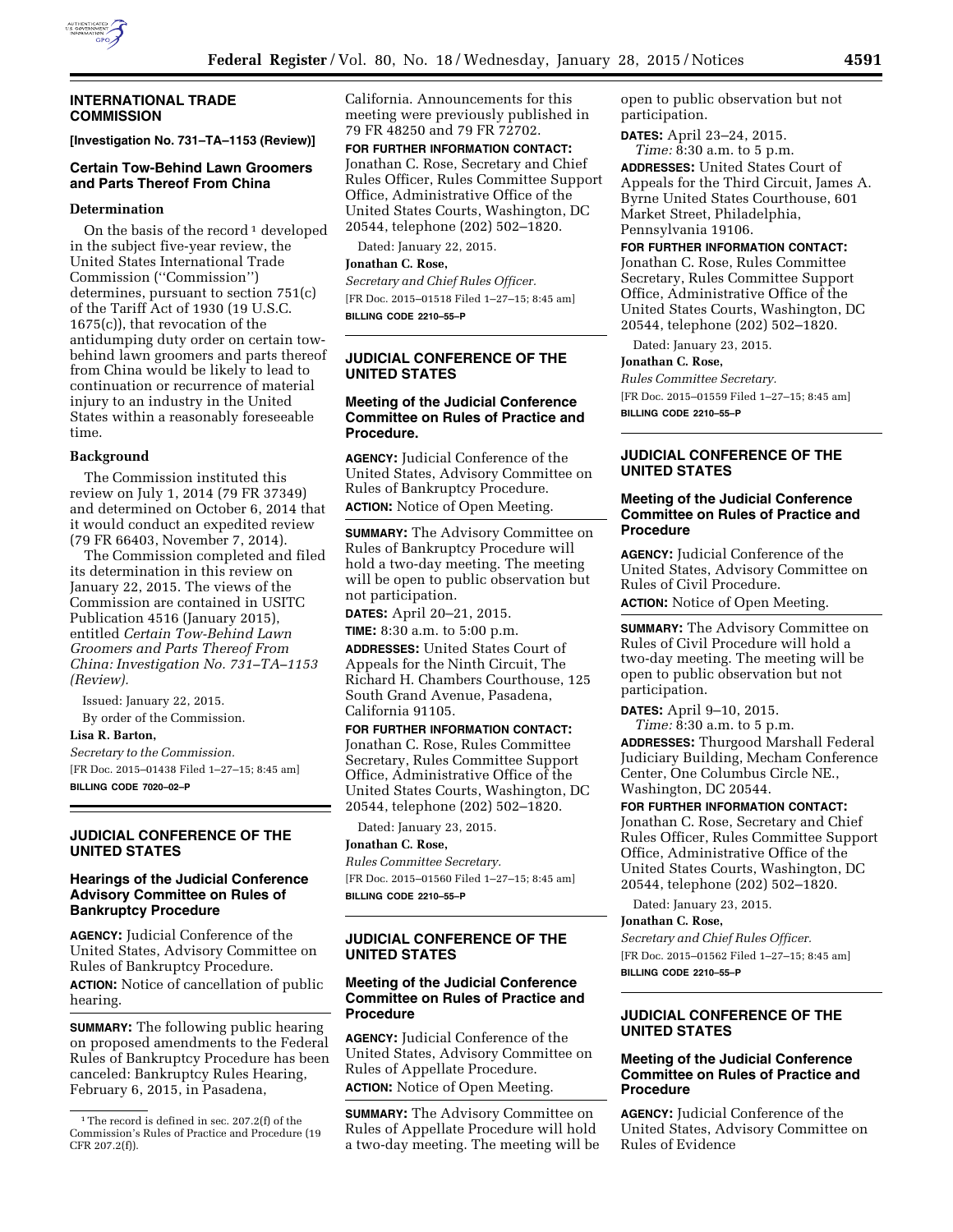

#### **INTERNATIONAL TRADE COMMISSION**

**[Investigation No. 731–TA–1153 (Review)]** 

### **Certain Tow-Behind Lawn Groomers and Parts Thereof From China**

#### **Determination**

On the basis of the record<sup>1</sup> developed in the subject five-year review, the United States International Trade Commission (''Commission'') determines, pursuant to section 751(c) of the Tariff Act of 1930 (19 U.S.C. 1675(c)), that revocation of the antidumping duty order on certain towbehind lawn groomers and parts thereof from China would be likely to lead to continuation or recurrence of material injury to an industry in the United States within a reasonably foreseeable time.

#### **Background**

The Commission instituted this review on July 1, 2014 (79 FR 37349) and determined on October 6, 2014 that it would conduct an expedited review (79 FR 66403, November 7, 2014).

The Commission completed and filed its determination in this review on January 22, 2015. The views of the Commission are contained in USITC Publication 4516 (January 2015), entitled *Certain Tow-Behind Lawn Groomers and Parts Thereof From China: Investigation No. 731–TA–1153 (Review).* 

Issued: January 22, 2015.

By order of the Commission.

## **Lisa R. Barton,**

*Secretary to the Commission.*  [FR Doc. 2015–01438 Filed 1–27–15; 8:45 am] **BILLING CODE 7020–02–P** 

## **JUDICIAL CONFERENCE OF THE UNITED STATES**

## **Hearings of the Judicial Conference Advisory Committee on Rules of Bankruptcy Procedure**

**AGENCY:** Judicial Conference of the United States, Advisory Committee on Rules of Bankruptcy Procedure.

**ACTION:** Notice of cancellation of public hearing.

**SUMMARY:** The following public hearing on proposed amendments to the Federal Rules of Bankruptcy Procedure has been canceled: Bankruptcy Rules Hearing, February 6, 2015, in Pasadena,

California. Announcements for this meeting were previously published in 79 FR 48250 and 79 FR 72702.

**FOR FURTHER INFORMATION CONTACT:**  Jonathan C. Rose, Secretary and Chief Rules Officer, Rules Committee Support Office, Administrative Office of the United States Courts, Washington, DC 20544, telephone (202) 502–1820.

Dated: January 22, 2015.

#### **Jonathan C. Rose,**

*Secretary and Chief Rules Officer.*  [FR Doc. 2015–01518 Filed 1–27–15; 8:45 am] **BILLING CODE 2210–55–P** 

# **JUDICIAL CONFERENCE OF THE UNITED STATES**

# **Meeting of the Judicial Conference Committee on Rules of Practice and Procedure.**

**AGENCY:** Judicial Conference of the United States, Advisory Committee on Rules of Bankruptcy Procedure. **ACTION:** Notice of Open Meeting.

**SUMMARY:** The Advisory Committee on Rules of Bankruptcy Procedure will hold a two-day meeting. The meeting will be open to public observation but not participation.

**DATES:** April 20–21, 2015.

**TIME:** 8:30 a.m. to 5:00 p.m. **ADDRESSES:** United States Court of Appeals for the Ninth Circuit, The Richard H. Chambers Courthouse, 125 South Grand Avenue, Pasadena, California 91105.

**FOR FURTHER INFORMATION CONTACT:**  Jonathan C. Rose, Rules Committee Secretary, Rules Committee Support Office, Administrative Office of the United States Courts, Washington, DC 20544, telephone (202) 502–1820.

Dated: January 23, 2015.

# **Jonathan C. Rose,**

*Rules Committee Secretary.*  [FR Doc. 2015–01560 Filed 1–27–15; 8:45 am] **BILLING CODE 2210–55–P** 

# **JUDICIAL CONFERENCE OF THE UNITED STATES**

### **Meeting of the Judicial Conference Committee on Rules of Practice and Procedure**

**AGENCY:** Judicial Conference of the United States, Advisory Committee on Rules of Appellate Procedure. **ACTION:** Notice of Open Meeting.

**SUMMARY:** The Advisory Committee on Rules of Appellate Procedure will hold a two-day meeting. The meeting will be open to public observation but not participation.

**DATES:** April 23–24, 2015. *Time:* 8:30 a.m. to 5 p.m.

**ADDRESSES:** United States Court of Appeals for the Third Circuit, James A. Byrne United States Courthouse, 601 Market Street, Philadelphia, Pennsylvania 19106.

**FOR FURTHER INFORMATION CONTACT:** 

Jonathan C. Rose, Rules Committee Secretary, Rules Committee Support Office, Administrative Office of the United States Courts, Washington, DC 20544, telephone (202) 502–1820.

Dated: January 23, 2015.

#### **Jonathan C. Rose,**

*Rules Committee Secretary.*  [FR Doc. 2015–01559 Filed 1–27–15; 8:45 am] **BILLING CODE 2210–55–P** 

## **JUDICIAL CONFERENCE OF THE UNITED STATES**

## **Meeting of the Judicial Conference Committee on Rules of Practice and Procedure**

**AGENCY:** Judicial Conference of the United States, Advisory Committee on Rules of Civil Procedure.

**ACTION:** Notice of Open Meeting.

**SUMMARY:** The Advisory Committee on Rules of Civil Procedure will hold a two-day meeting. The meeting will be open to public observation but not participation.

**DATES:** April 9–10, 2015. *Time:* 8:30 a.m. to 5 p.m.

**ADDRESSES:** Thurgood Marshall Federal Judiciary Building, Mecham Conference Center, One Columbus Circle NE., Washington, DC 20544.

#### **FOR FURTHER INFORMATION CONTACT:**

Jonathan C. Rose, Secretary and Chief Rules Officer, Rules Committee Support Office, Administrative Office of the United States Courts, Washington, DC 20544, telephone (202) 502–1820.

Dated: January 23, 2015.

# **Jonathan C. Rose,**

*Secretary and Chief Rules Officer.*  [FR Doc. 2015–01562 Filed 1–27–15; 8:45 am] **BILLING CODE 2210–55–P** 

# **JUDICIAL CONFERENCE OF THE UNITED STATES**

## **Meeting of the Judicial Conference Committee on Rules of Practice and Procedure**

**AGENCY:** Judicial Conference of the United States, Advisory Committee on Rules of Evidence

<sup>&</sup>lt;sup>1</sup>The record is defined in sec. 207.2(f) of the Commission's Rules of Practice and Procedure (19 CFR 207.2(f)).